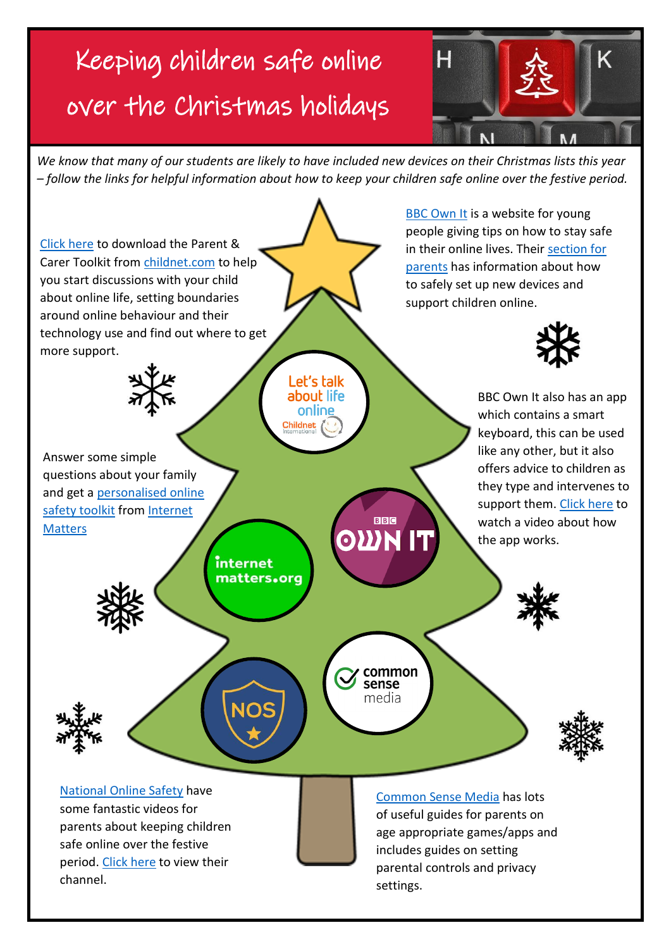# Keeping children safe online over the Christmas holidays



*We know that many of our students are likely to have included new devices on their Christmas lists this year – follow the links for helpful information about how to keep your children safe online over the festive period.*